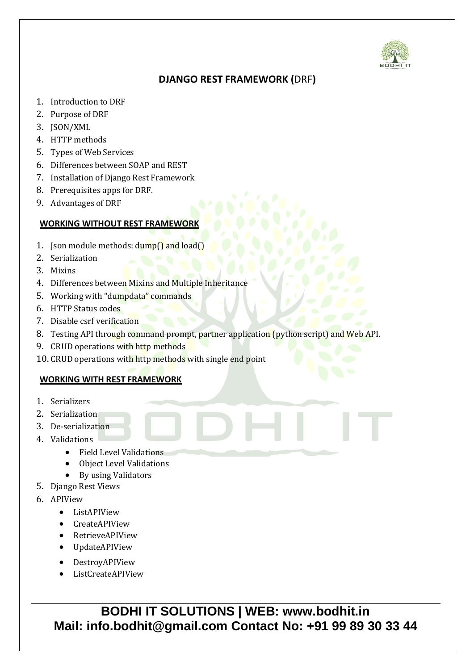

## **DJANGO REST FRAMEWORK (**DRF**)**

- 1. Introduction to DRF
- 2. Purpose of DRF
- 3. JSON/XML
- 4. HTTP methods
- 5. Types of Web Services
- 6. Differences between SOAP and REST
- 7. Installation of Django Rest Framework
- 8. Prerequisites apps for DRF.
- 9. Advantages of DRF

## **WORKING WITHOUT REST FRAMEWORK**

- 1. Json module methods:  $\text{dump}()$  and  $\text{load}()$
- 2. Serialization
- 3. Mixins
- 4. Differences between Mixins and Multiple Inheritance
- 5. Working with "dumpdata" commands
- 6. HTTP Status codes
- 7. Disable csrf verification
- 8. Testing API through command prompt, partner application (python script) and Web API.
- 9. CRUD operations with http methods
- 10. CRUD operations with http methods with single end point

## **WORKING WITH REST FRAMEWORK**

- 1. Serializers
- 2. Serialization
- 3. De-serialization
- 4. Validations
	- Field Level Validations
	- Object Level Validations
	- By using Validators
- 5. Django Rest Views
- 6. APIView
	- ListAPIView
	- CreateAPIView
	- RetrieveAPIView
	- UpdateAPIView
	- DestroyAPIView
	- ListCreateAPIView

**BODHI IT SOLUTIONS | WEB: www.bodhit.in Mail: info.bodhit@gmail.com Contact No: +91 99 89 30 33 44**